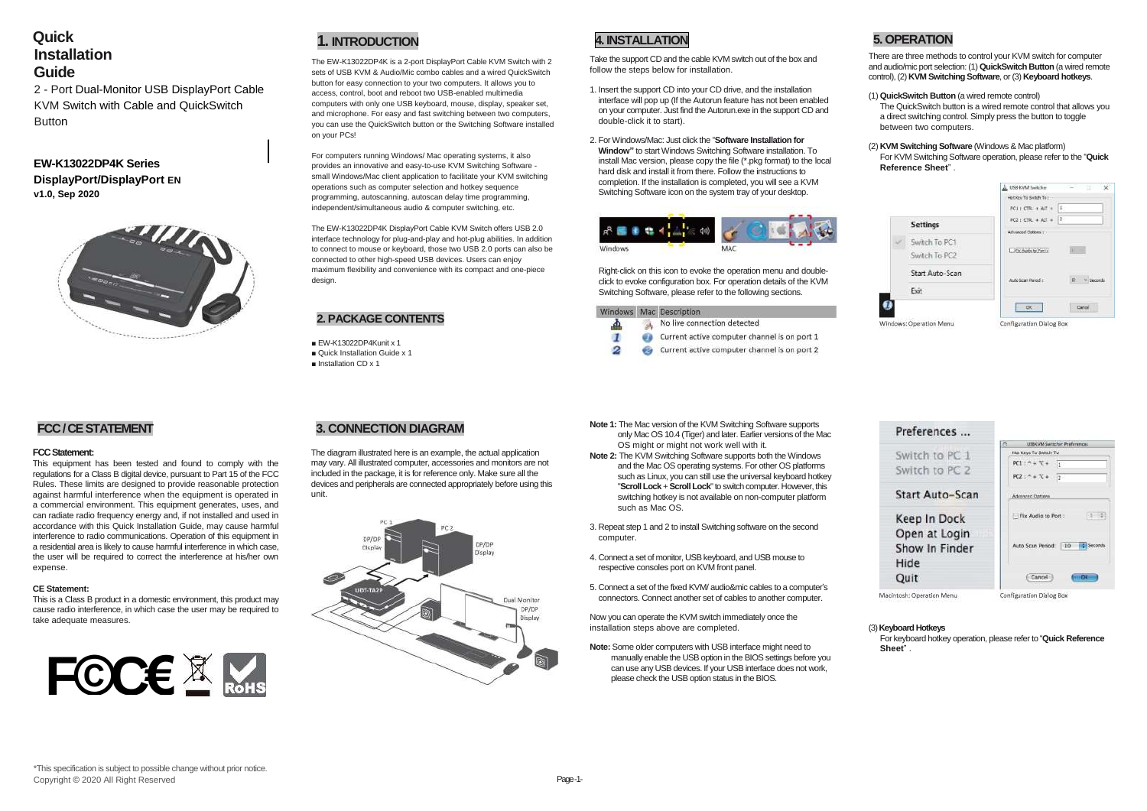# **Quick Installation Guide**

2 - Port Dual-Monitor USB DisplayPort Cable KVM Switch with Cable and QuickSwitch **Button** 

## **EW-K13022DP4K Series DisplayPort/DisplayPort EN v1.0, Sep 2020**



# **1. INTRODUCTION**

The EW-K13022DP4K is a 2-port DisplayPort Cable KVM Switch with 2 sets of USB KVM & Audio/Mic combo cables and a wired QuickSwitch button for easy connection to your two computers. It allows you to access, control, boot and reboot two USB-enabled multimedia computers with only one USB keyboard, mouse, display, speaker set, and microphone. For easy and fast switching between two computers, you can use the QuickSwitch button or the Switching Software installed on your PCs!

For computers running Windows/ Mac operating systems, it also provides an innovative and easy-to-use KVM Switching Software small Windows/Mac client application to facilitate your KVM switching operations such as computer selection and hotkey sequence programming, autoscanning, autoscan delay time programming, independent/simultaneous audio & computer switching, etc.

The EW-K13022DP4K DisplayPort Cable KVM Switch offers USB 2.0 interface technology for plug-and-play and hot-plug abilities. In addition to connect to mouse or keyboard, those two USB 2.0 ports can also be connected to other high-speed USB devices. Users can enjoy maximum flexibility and convenience with its compact and one-piece design.

### **2. PACKAGE CONTENTS**

- EW-K13022DP4Kunit x 1
- Quick Installation Guide x 1
- Installation CD x 1

# **4. INSTALLATION**

Take the support CD and the cable KVM switch out of the box and follow the steps below for installation.

- 1. Insert the support CD into your CD drive, and the installation interface will pop up (If the Autorun feature has not been enabled on your computer. Just find the Autorun.exe in the support CD and double-click it to start).
- 2. For Windows/Mac: Just click the "**Software Installation for Window"** to start Windows Switching Software installation. To install Mac version, please copy the file (\*.pkg format) to the local hard disk and install it from there. Follow the instructions to completion. If the installation is completed, you will see a KVM Switching Software icon on the system tray of your desktop.



Right-click on this icon to evoke the operation menu and doubleclick to evoke configuration box. For operation details of the KVM Switching Software, please refer to the following sections.



# **5. OPERATION**

There are three methods to control your KVM switch for computer and audio/mic port selection: (1) **QuickSwitch Button** (a wired remote control), (2) **KVM Switching Software**, or (3) **Keyboard hotkeys**.

(1) **QuickSwitch Button** (a wired remote control)

The QuickSwitch button is a wired remote control that allows you a direct switching control. Simply press the button to toggle between two computers.

(2) **KVM Switching Software** (Windows & Mac platform) For KVM Switching Software operation, please refer to the "**Quick Reference Sheet**" .

|  |                         | A USB-IONA Seeb free     | ×              |  |  |
|--|-------------------------|--------------------------|----------------|--|--|
|  |                         | Hot Key To Switch To I   |                |  |  |
|  |                         | PCLICTRL + ALT +         | L.             |  |  |
|  | <b>Settings</b>         | FC2 : CTRL + ALT +       | B              |  |  |
|  |                         | Athrenced Options :::    |                |  |  |
|  | Switch To PC1           | Fix Audio to Port :      |                |  |  |
|  | Switch To PC2           |                          |                |  |  |
|  | Start Auto-Scan         | Auto Scan Penedic        | ió.<br>Seconda |  |  |
|  | Exit                    |                          |                |  |  |
|  |                         | OC:                      |                |  |  |
|  | Windows: Operation Menu | Configuration Dialog Box |                |  |  |



## **FCC / CE STATEMENT**

### **FCC Statement:**

This equipment has been tested and found to comply with the regulations for a Class B digital device, pursuant to Part 15 of the FCC Rules. These limits are designed to provide reasonable protection against harmful interference when the equipment is operated in a commercial environment. This equipment generates, uses, and can radiate radio frequency energy and, if not installed and used in accordance with this Quick Installation Guide, may cause harmful interference to radio communications. Operation of this equipment in a residential area is likely to cause harmful interference in which case, the user will be required to correct the interference at his/her own expense.

### **CE Statement:**

This is a Class B product in a domestic environment, this product may cause radio interference, in which case the user may be required to take adequate measures.



## **3. CONNECTION DIAGRAM**

The diagram illustrated here is an example, the actual application may vary. All illustrated computer, accessories and monitors are not included in the package, it is for reference only. Make sure all the devices and peripherals are connected appropriately before using this unit.



- **Note 1:** The Mac version of the KVM Switching Software supports only Mac OS 10.4 (Tiger) and later. Earlier versions of the Mac OS might or might not work well with it.
- **Note 2:** The KVM Switching Software supports both the Windows and the Mac OS operating systems. For other OS platforms such as Linux, you can still use the universal keyboard hotkey "**Scroll Lock** + **Scroll Lock**" to switch computer. However, this switching hotkey is not available on non-computer platform such as Mac OS.
- 3. Repeat step 1 and 2 to install Switching software on the second computer.
- 4. Connect a set of monitor, USB keyboard, and USB mouse to respective consoles port on KVM front panel.
- 5. Connect a set of the fixed KVM/ audio&mic cables to a computer's connectors. Connect another set of cables to another computer.

Now you can operate the KVM switch immediately once the installation steps above are completed.

**Note:** Some older computers with USB interface might need to manually enable the USB option in the BIOS settings before you can use any USB devices. If your USB interface does not work, please check the USB option status in the BIOS.

### (3) **Keyboard Hotkeys**

For keyboard hotkey operation, please refer to "**Quick Reference Sheet**" .